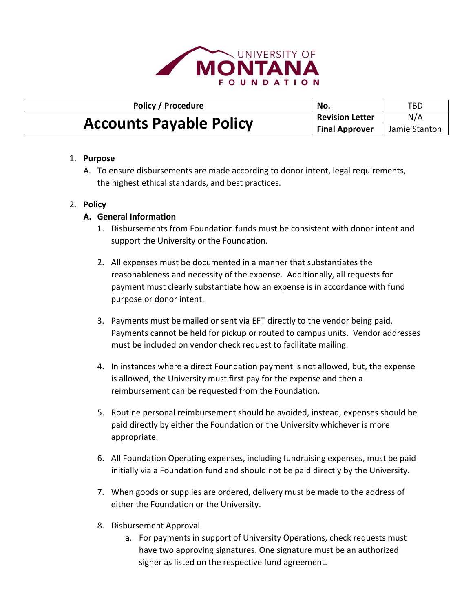

| <b>Policy / Procedure</b>      | No.                    | TBD           |
|--------------------------------|------------------------|---------------|
|                                | <b>Revision Letter</b> | N/A           |
| <b>Accounts Payable Policy</b> | <b>Final Approver</b>  | Jamie Stanton |

## 1. **Purpose**

A. To ensure disbursements are made according to donor intent, legal requirements, the highest ethical standards, and best practices.

# 2. **Policy**

## **A. General Information**

- 1. Disbursements from Foundation funds must be consistent with donor intent and support the University or the Foundation.
- 2. All expenses must be documented in a manner that substantiates the reasonableness and necessity of the expense. Additionally, all requests for payment must clearly substantiate how an expense is in accordance with fund purpose or donor intent.
- 3. Payments must be mailed or sent via EFT directly to the vendor being paid. Payments cannot be held for pickup or routed to campus units. Vendor addresses must be included on vendor check request to facilitate mailing.
- 4. In instances where a direct Foundation payment is not allowed, but, the expense is allowed, the University must first pay for the expense and then a reimbursement can be requested from the Foundation.
- 5. Routine personal reimbursement should be avoided, instead, expenses should be paid directly by either the Foundation or the University whichever is more appropriate.
- 6. All Foundation Operating expenses, including fundraising expenses, must be paid initially via a Foundation fund and should not be paid directly by the University.
- 7. When goods or supplies are ordered, delivery must be made to the address of either the Foundation or the University.
- 8. Disbursement Approval
	- a. For payments in support of University Operations, check requests must have two approving signatures. One signature must be an authorized signer as listed on the respective fund agreement.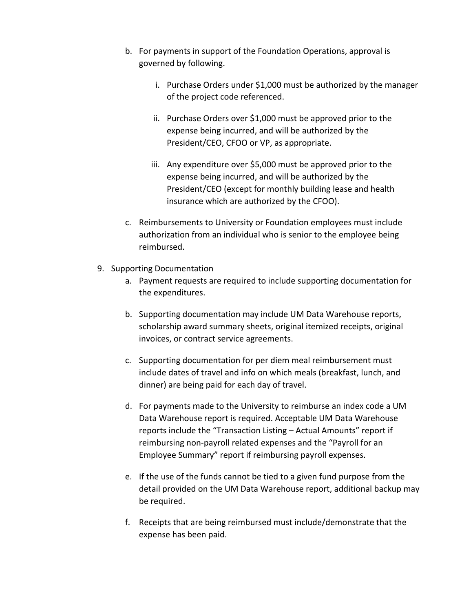- b. For payments in support of the Foundation Operations, approval is governed by following.
	- i. Purchase Orders under \$1,000 must be authorized by the manager of the project code referenced.
	- ii. Purchase Orders over \$1,000 must be approved prior to the expense being incurred, and will be authorized by the President/CEO, CFOO or VP, as appropriate.
	- iii. Any expenditure over \$5,000 must be approved prior to the expense being incurred, and will be authorized by the President/CEO (except for monthly building lease and health insurance which are authorized by the CFOO).
- c. Reimbursements to University or Foundation employees must include authorization from an individual who is senior to the employee being reimbursed.
- 9. Supporting Documentation
	- a. Payment requests are required to include supporting documentation for the expenditures.
	- b. Supporting documentation may include UM Data Warehouse reports, scholarship award summary sheets, original itemized receipts, original invoices, or contract service agreements.
	- c. Supporting documentation for per diem meal reimbursement must include dates of travel and info on which meals (breakfast, lunch, and dinner) are being paid for each day of travel.
	- d. For payments made to the University to reimburse an index code a UM Data Warehouse report is required. Acceptable UM Data Warehouse reports include the "Transaction Listing – Actual Amounts" report if reimbursing non‐payroll related expenses and the "Payroll for an Employee Summary" report if reimbursing payroll expenses.
	- e. If the use of the funds cannot be tied to a given fund purpose from the detail provided on the UM Data Warehouse report, additional backup may be required.
	- f. Receipts that are being reimbursed must include/demonstrate that the expense has been paid.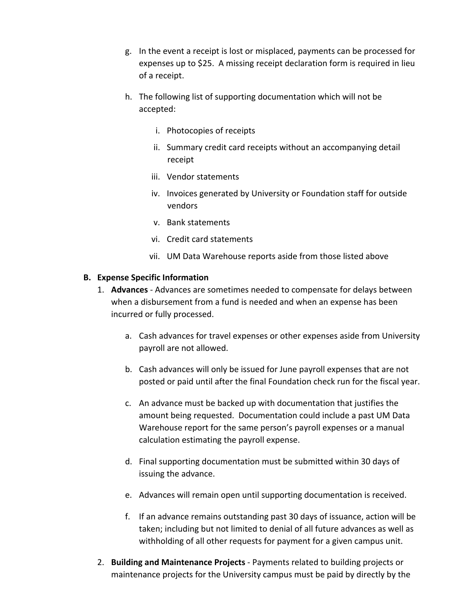- g. In the event a receipt is lost or misplaced, payments can be processed for expenses up to \$25. A missing receipt declaration form is required in lieu of a receipt.
- h. The following list of supporting documentation which will not be accepted:
	- i. Photocopies of receipts
	- ii. Summary credit card receipts without an accompanying detail receipt
	- iii. Vendor statements
	- iv. Invoices generated by University or Foundation staff for outside vendors
	- v. Bank statements
	- vi. Credit card statements
	- vii. UM Data Warehouse reports aside from those listed above

#### **B. Expense Specific Information**

- 1. **Advances** ‐ Advances are sometimes needed to compensate for delays between when a disbursement from a fund is needed and when an expense has been incurred or fully processed.
	- a. Cash advances for travel expenses or other expenses aside from University payroll are not allowed.
	- b. Cash advances will only be issued for June payroll expenses that are not posted or paid until after the final Foundation check run for the fiscal year.
	- c. An advance must be backed up with documentation that justifies the amount being requested. Documentation could include a past UM Data Warehouse report for the same person's payroll expenses or a manual calculation estimating the payroll expense.
	- d. Final supporting documentation must be submitted within 30 days of issuing the advance.
	- e. Advances will remain open until supporting documentation is received.
	- f. If an advance remains outstanding past 30 days of issuance, action will be taken; including but not limited to denial of all future advances as well as withholding of all other requests for payment for a given campus unit.
- 2. **Building and Maintenance Projects** ‐ Payments related to building projects or maintenance projects for the University campus must be paid by directly by the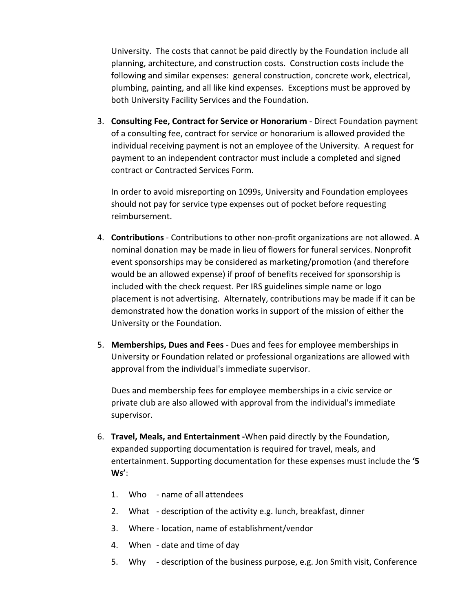University. The costs that cannot be paid directly by the Foundation include all planning, architecture, and construction costs. Construction costs include the following and similar expenses: general construction, concrete work, electrical, plumbing, painting, and all like kind expenses. Exceptions must be approved by both University Facility Services and the Foundation.

3. **Consulting Fee, Contract for Service or Honorarium** ‐ Direct Foundation payment of a consulting fee, contract for service or honorarium is allowed provided the individual receiving payment is not an employee of the University. A request for payment to an independent contractor must include a completed and signed contract or Contracted Services Form.

In order to avoid misreporting on 1099s, University and Foundation employees should not pay for service type expenses out of pocket before requesting reimbursement.

- 4. **Contributions** ‐ Contributions to other non‐profit organizations are not allowed. A nominal donation may be made in lieu of flowers for funeral services. Nonprofit event sponsorships may be considered as marketing/promotion (and therefore would be an allowed expense) if proof of benefits received for sponsorship is included with the check request. Per IRS guidelines simple name or logo placement is not advertising. Alternately, contributions may be made if it can be demonstrated how the donation works in support of the mission of either the University or the Foundation.
- 5. **Memberships, Dues and Fees** ‐ Dues and fees for employee memberships in University or Foundation related or professional organizations are allowed with approval from the individual's immediate supervisor.

Dues and membership fees for employee memberships in a civic service or private club are also allowed with approval from the individual's immediate supervisor.

- 6. **Travel, Meals, and Entertainment ‐**When paid directly by the Foundation, expanded supporting documentation is required for travel, meals, and entertainment. Supporting documentation for these expenses must include the **'5 Ws'**:
	- 1. Who ‐ name of all attendees
	- 2. What ‐ description of the activity e.g. lunch, breakfast, dinner
	- 3. Where ‐ location, name of establishment/vendor
	- 4. When date and time of day
	- 5. Why ‐ description of the business purpose, e.g. Jon Smith visit, Conference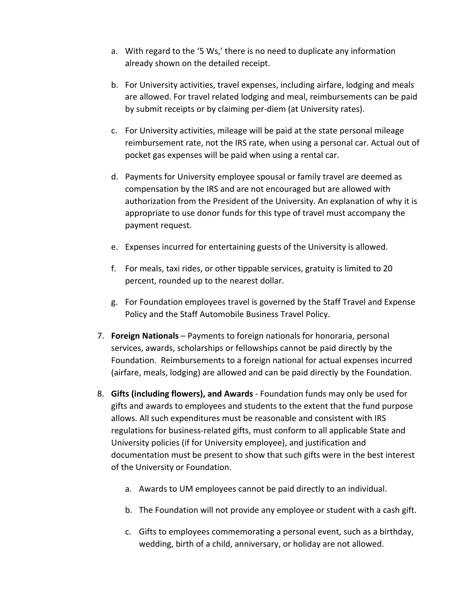- a. With regard to the '5 Ws,' there is no need to duplicate any information already shown on the detailed receipt.
- b. For University activities, travel expenses, including airfare, lodging and meals are allowed. For travel related lodging and meal, reimbursements can be paid by submit receipts or by claiming per‐diem (at University rates).
- c. For University activities, mileage will be paid at the state personal mileage reimbursement rate, not the IRS rate, when using a personal car. Actual out of pocket gas expenses will be paid when using a rental car.
- d. Payments for University employee spousal or family travel are deemed as compensation by the IRS and are not encouraged but are allowed with authorization from the President of the University. An explanation of why it is appropriate to use donor funds for this type of travel must accompany the payment request.
- e. Expenses incurred for entertaining guests of the University is allowed.
- f. For meals, taxi rides, or other tippable services, gratuity is limited to 20 percent, rounded up to the nearest dollar.
- g. For Foundation employees travel is governed by the Staff Travel and Expense Policy and the Staff Automobile Business Travel Policy.
- 7. **Foreign Nationals** Payments to foreign nationals for honoraria, personal services, awards, scholarships or fellowships cannot be paid directly by the Foundation. Reimbursements to a foreign national for actual expenses incurred (airfare, meals, lodging) are allowed and can be paid directly by the Foundation.
- 8. **Gifts (including flowers), and Awards** ‐ Foundation funds may only be used for gifts and awards to employees and students to the extent that the fund purpose allows. All such expenditures must be reasonable and consistent with IRS regulations for business‐related gifts, must conform to all applicable State and University policies (if for University employee), and justification and documentation must be present to show that such gifts were in the best interest of the University or Foundation.
	- a. Awards to UM employees cannot be paid directly to an individual.
	- b. The Foundation will not provide any employee or student with a cash gift.
	- c. Gifts to employees commemorating a personal event, such as a birthday, wedding, birth of a child, anniversary, or holiday are not allowed.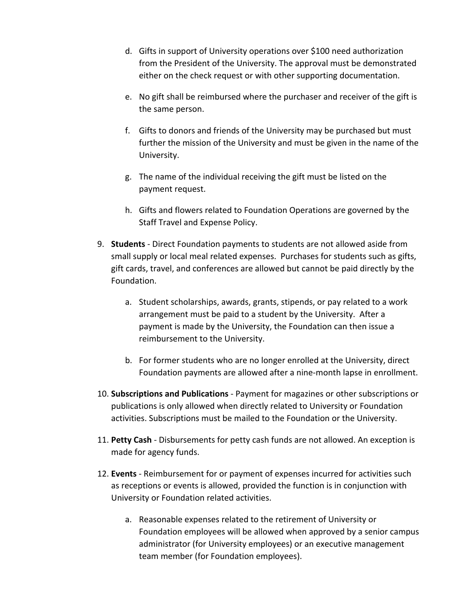- d. Gifts in support of University operations over \$100 need authorization from the President of the University. The approval must be demonstrated either on the check request or with other supporting documentation.
- e. No gift shall be reimbursed where the purchaser and receiver of the gift is the same person.
- f. Gifts to donors and friends of the University may be purchased but must further the mission of the University and must be given in the name of the University.
- g. The name of the individual receiving the gift must be listed on the payment request.
- h. Gifts and flowers related to Foundation Operations are governed by the Staff Travel and Expense Policy.
- 9. **Students** ‐ Direct Foundation payments to students are not allowed aside from small supply or local meal related expenses. Purchases for students such as gifts, gift cards, travel, and conferences are allowed but cannot be paid directly by the Foundation.
	- a. Student scholarships, awards, grants, stipends, or pay related to a work arrangement must be paid to a student by the University. After a payment is made by the University, the Foundation can then issue a reimbursement to the University.
	- b. For former students who are no longer enrolled at the University, direct Foundation payments are allowed after a nine‐month lapse in enrollment.
- 10. **Subscriptions and Publications** ‐ Payment for magazines or other subscriptions or publications is only allowed when directly related to University or Foundation activities. Subscriptions must be mailed to the Foundation or the University.
- 11. **Petty Cash** ‐ Disbursements for petty cash funds are not allowed. An exception is made for agency funds.
- 12. **Events** ‐ Reimbursement for or payment of expenses incurred for activities such as receptions or events is allowed, provided the function is in conjunction with University or Foundation related activities.
	- a. Reasonable expenses related to the retirement of University or Foundation employees will be allowed when approved by a senior campus administrator (for University employees) or an executive management team member (for Foundation employees).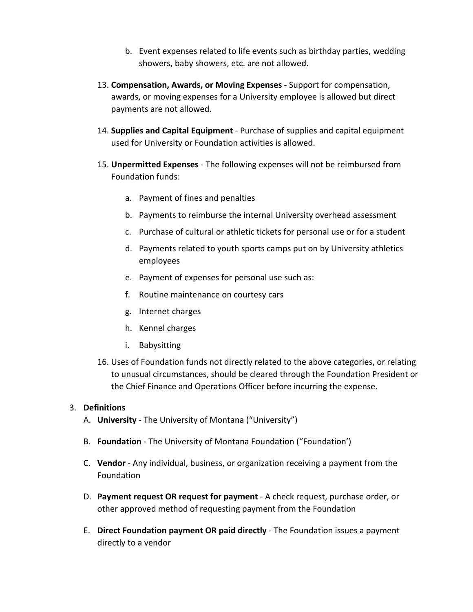- b. Event expenses related to life events such as birthday parties, wedding showers, baby showers, etc. are not allowed.
- 13. **Compensation, Awards, or Moving Expenses** ‐ Support for compensation, awards, or moving expenses for a University employee is allowed but direct payments are not allowed.
- 14. **Supplies and Capital Equipment** ‐ Purchase of supplies and capital equipment used for University or Foundation activities is allowed.
- 15. **Unpermitted Expenses** ‐ The following expenses will not be reimbursed from Foundation funds:
	- a. Payment of fines and penalties
	- b. Payments to reimburse the internal University overhead assessment
	- c. Purchase of cultural or athletic tickets for personal use or for a student
	- d. Payments related to youth sports camps put on by University athletics employees
	- e. Payment of expenses for personal use such as:
	- f. Routine maintenance on courtesy cars
	- g. Internet charges
	- h. Kennel charges
	- i. Babysitting
- 16. Uses of Foundation funds not directly related to the above categories, or relating to unusual circumstances, should be cleared through the Foundation President or the Chief Finance and Operations Officer before incurring the expense.

## 3. **Definitions**

- A. **University** ‐ The University of Montana ("University")
- B. **Foundation** ‐ The University of Montana Foundation ("Foundation')
- C. **Vendor** ‐ Any individual, business, or organization receiving a payment from the Foundation
- D. **Payment request OR request for payment** ‐ A check request, purchase order, or other approved method of requesting payment from the Foundation
- E. **Direct Foundation payment OR paid directly** ‐ The Foundation issues a payment directly to a vendor